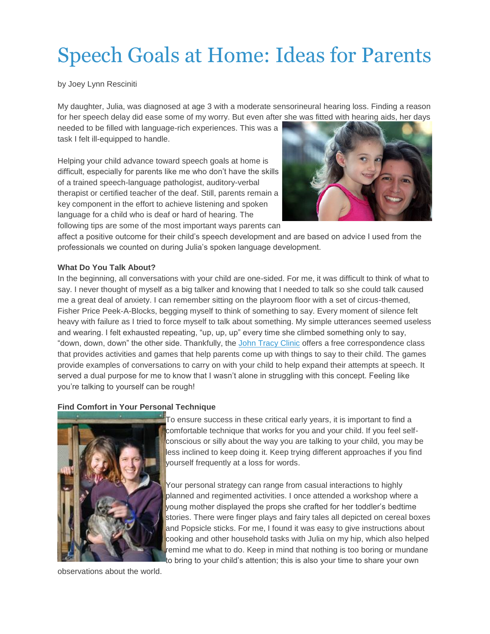# Speech Goals at Home: Ideas for Parents

by Joey Lynn Resciniti

My daughter, Julia, was diagnosed at age 3 with a moderate sensorineural hearing loss. Finding a reason for her speech delay did ease some of my worry. But even after she was fitted with hearing aids, her days

needed to be filled with language-rich experiences. This was a task I felt ill-equipped to handle.

Helping your child advance toward speech goals at home is difficult, especially for parents like me who don't have the skills of a trained speech-language pathologist, auditory-verbal therapist or certified teacher of the deaf. Still, parents remain a key component in the effort to achieve listening and spoken language for a child who is deaf or hard of hearing. The following tips are some of the most important ways parents can



affect a positive outcome for their child's speech development and are based on advice I used from the professionals we counted on during Julia's spoken language development.

### **What Do You Talk About?**

In the beginning, all conversations with your child are one-sided. For me, it was difficult to think of what to say. I never thought of myself as a big talker and knowing that I needed to talk so she could talk caused me a great deal of anxiety. I can remember sitting on the playroom floor with a set of circus-themed, Fisher Price Peek-A-Blocks, begging myself to think of something to say. Every moment of silence felt heavy with failure as I tried to force myself to talk about something. My simple utterances seemed useless and wearing. I felt exhausted repeating, "up, up, up" every time she climbed something only to say, "down, down, down" the other side. Thankfully, the John [Tracy](http://www.jtc.org/) Clinic offers a free correspondence class that provides activities and games that help parents come up with things to say to their child. The games provide examples of conversations to carry on with your child to help expand their attempts at speech. It served a dual purpose for me to know that I wasn't alone in struggling with this concept. Feeling like you're talking to yourself can be rough!

#### **Find Comfort in Your Personal Technique**



To ensure success in these critical early years, it is important to find a comfortable technique that works for you and your child. If you feel selfconscious or silly about the way you are talking to your child, you may be less inclined to keep doing it. Keep trying different approaches if you find yourself frequently at a loss for words.

Your personal strategy can range from casual interactions to highly planned and regimented activities. I once attended a workshop where a young mother displayed the props she crafted for her toddler's bedtime stories. There were finger plays and fairy tales all depicted on cereal boxes and Popsicle sticks. For me, I found it was easy to give instructions about cooking and other household tasks with Julia on my hip, which also helped remind me what to do. Keep in mind that nothing is too boring or mundane to bring to your child's attention; this is also your time to share your own

observations about the world.